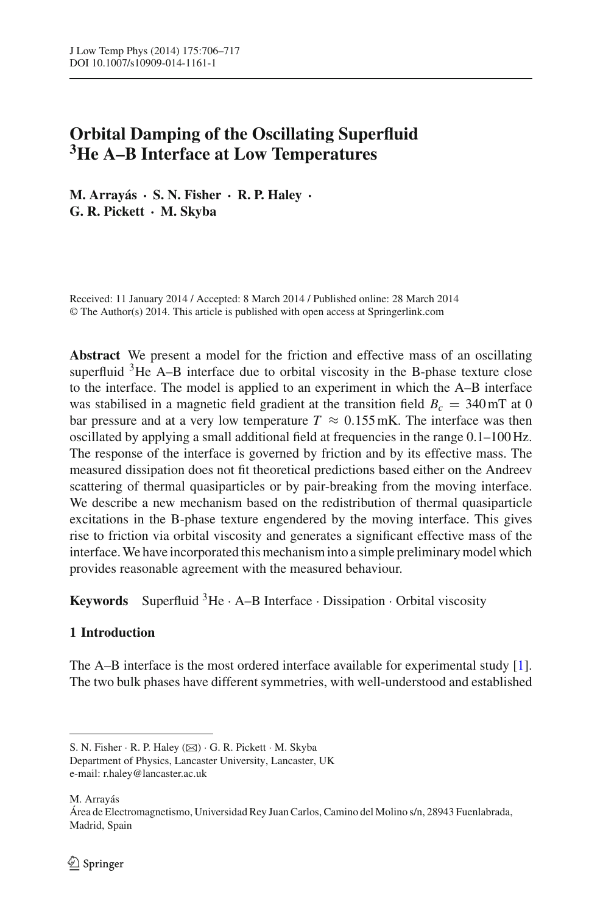# **Orbital Damping of the Oscillating Superfluid 3He A–B Interface at Low Temperatures**

**M. Arrayás · S. N. Fisher · R. P. Haley · G. R. Pickett · M. Skyba**

Received: 11 January 2014 / Accepted: 8 March 2014 / Published online: 28 March 2014 © The Author(s) 2014. This article is published with open access at Springerlink.com

**Abstract** We present a model for the friction and effective mass of an oscillating superfluid  $3$ He A–B interface due to orbital viscosity in the B-phase texture close to the interface. The model is applied to an experiment in which the A–B interface was stabilised in a magnetic field gradient at the transition field  $B_c = 340$  mT at 0 bar pressure and at a very low temperature  $T \approx 0.155$  mK. The interface was then oscillated by applying a small additional field at frequencies in the range 0.1–100 Hz. The response of the interface is governed by friction and by its effective mass. The measured dissipation does not fit theoretical predictions based either on the Andreev scattering of thermal quasiparticles or by pair-breaking from the moving interface. We describe a new mechanism based on the redistribution of thermal quasiparticle excitations in the B-phase texture engendered by the moving interface. This gives rise to friction via orbital viscosity and generates a significant effective mass of the interface.We have incorporated this mechanism into a simple preliminary model which provides reasonable agreement with the measured behaviour.

**Keywords** Superfluid  ${}^{3}$ He · A–B Interface · Dissipation · Orbital viscosity

# **1 Introduction**

The A–B interface is the most ordered interface available for experimental study [\[1](#page-10-0)]. The two bulk phases have different symmetries, with well-understood and established

M. Arrayás

S. N. Fisher · R. P. Haley (B) · G. R. Pickett · M. Skyba

Department of Physics, Lancaster University, Lancaster, UK e-mail: r.haley@lancaster.ac.uk

Área de Electromagnetismo, Universidad Rey Juan Carlos, Camino del Molino s/n, 28943 Fuenlabrada, Madrid, Spain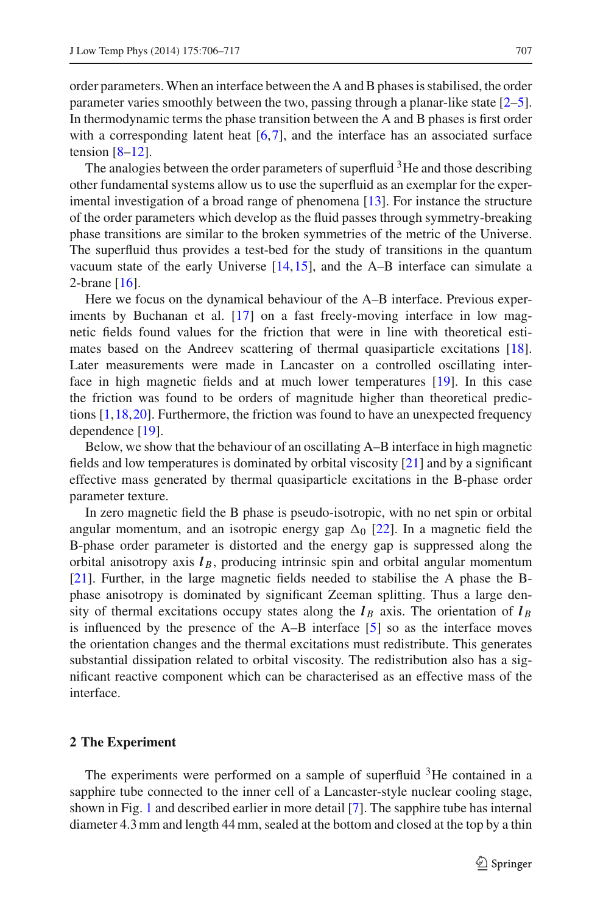order parameters. When an interface between the A and B phases is stabilised, the order parameter varies smoothly between the two, passing through a planar-like state [\[2](#page-10-1)[–5](#page-10-2)]. In thermodynamic terms the phase transition between the A and B phases is first order with a corresponding latent heat [\[6](#page-10-3)[,7](#page-10-4)], and the interface has an associated surface tension  $[8-12]$  $[8-12]$ .

The analogies between the order parameters of superfluid  $3$ He and those describing other fundamental systems allow us to use the superfluid as an exemplar for the experimental investigation of a broad range of phenomena [\[13](#page-10-7)]. For instance the structure of the order parameters which develop as the fluid passes through symmetry-breaking phase transitions are similar to the broken symmetries of the metric of the Universe. The superfluid thus provides a test-bed for the study of transitions in the quantum vacuum state of the early Universe [\[14](#page-11-0),[15\]](#page-11-1), and the A–B interface can simulate a 2-brane [\[16\]](#page-11-2).

Here we focus on the dynamical behaviour of the A–B interface. Previous experiments by Buchanan et al. [\[17\]](#page-11-3) on a fast freely-moving interface in low magnetic fields found values for the friction that were in line with theoretical estimates based on the Andreev scattering of thermal quasiparticle excitations [\[18](#page-11-4)]. Later measurements were made in Lancaster on a controlled oscillating interface in high magnetic fields and at much lower temperatures [\[19](#page-11-5)]. In this case the friction was found to be orders of magnitude higher than theoretical predictions [\[1,](#page-10-0)[18](#page-11-4)[,20](#page-11-6)]. Furthermore, the friction was found to have an unexpected frequency dependence [\[19\]](#page-11-5).

Below, we show that the behaviour of an oscillating A–B interface in high magnetic fields and low temperatures is dominated by orbital viscosity [\[21\]](#page-11-7) and by a significant effective mass generated by thermal quasiparticle excitations in the B-phase order parameter texture.

In zero magnetic field the B phase is pseudo-isotropic, with no net spin or orbital angular momentum, and an isotropic energy gap  $\Delta_0$  [\[22](#page-11-8)]. In a magnetic field the B-phase order parameter is distorted and the energy gap is suppressed along the orbital anisotropy axis  $l_B$ , producing intrinsic spin and orbital angular momentum [\[21](#page-11-7)]. Further, in the large magnetic fields needed to stabilise the A phase the Bphase anisotropy is dominated by significant Zeeman splitting. Thus a large density of thermal excitations occupy states along the  $l_B$  axis. The orientation of  $l_B$ is influenced by the presence of the A–B interface [\[5\]](#page-10-2) so as the interface moves the orientation changes and the thermal excitations must redistribute. This generates substantial dissipation related to orbital viscosity. The redistribution also has a significant reactive component which can be characterised as an effective mass of the interface.

## <span id="page-1-0"></span>**2 The Experiment**

The experiments were performed on a sample of superfluid <sup>3</sup>He contained in a sapphire tube connected to the inner cell of a Lancaster-style nuclear cooling stage, shown in Fig. [1](#page-2-0) and described earlier in more detail [\[7\]](#page-10-4). The sapphire tube has internal diameter 4.3 mm and length 44 mm, sealed at the bottom and closed at the top by a thin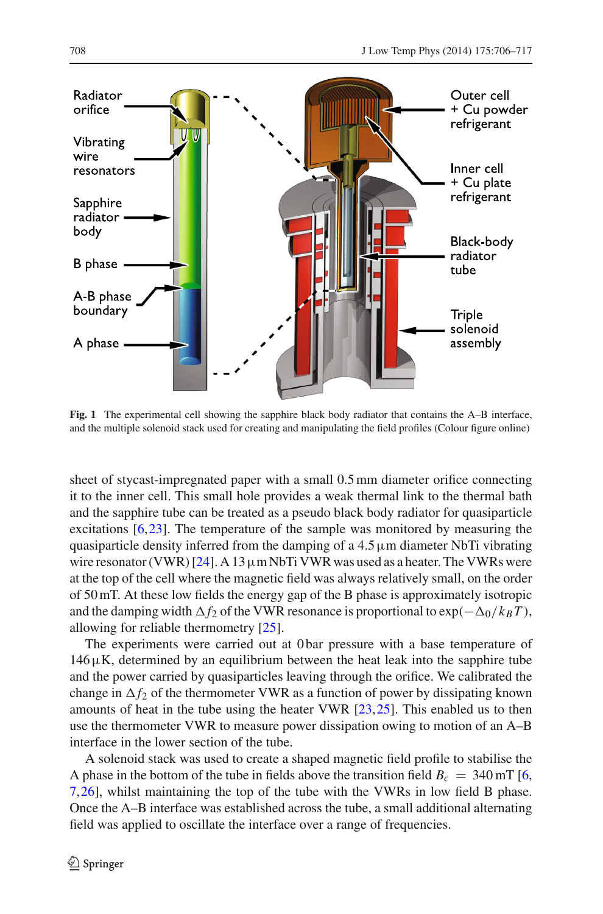

<span id="page-2-0"></span>**Fig. 1** The experimental cell showing the sapphire black body radiator that contains the A–B interface, and the multiple solenoid stack used for creating and manipulating the field profiles (Colour figure online)

sheet of stycast-impregnated paper with a small 0.5 mm diameter orifice connecting it to the inner cell. This small hole provides a weak thermal link to the thermal bath and the sapphire tube can be treated as a pseudo black body radiator for quasiparticle excitations [\[6](#page-10-3),[23](#page-11-9)]. The temperature of the sample was monitored by measuring the quasiparticle density inferred from the damping of a  $4.5 \mu$ m diameter NbTi vibrating wire resonator (VWR) [\[24](#page-11-10)]. A 13  $\mu$ m NbTi VWR was used as a heater. The VWRs were at the top of the cell where the magnetic field was always relatively small, on the order of 50 mT. At these low fields the energy gap of the B phase is approximately isotropic and the damping width  $\Delta f_2$  of the VWR resonance is proportional to  $\exp(-\Delta_0/k_BT)$ , allowing for reliable thermometry [\[25\]](#page-11-11).

The experiments were carried out at 0 bar pressure with a base temperature of  $146\,\mu$ K, determined by an equilibrium between the heat leak into the sapphire tube and the power carried by quasiparticles leaving through the orifice. We calibrated the change in  $\Delta f_2$  of the thermometer VWR as a function of power by dissipating known amounts of heat in the tube using the heater VWR [\[23](#page-11-9),[25\]](#page-11-11). This enabled us to then use the thermometer VWR to measure power dissipation owing to motion of an A–B interface in the lower section of the tube.

A solenoid stack was used to create a shaped magnetic field profile to stabilise the A phase in the bottom of the tube in fields above the transition field  $B_c = 340$  mT [\[6,](#page-10-3) [7,](#page-10-4)[26\]](#page-11-12), whilst maintaining the top of the tube with the VWRs in low field B phase. Once the A–B interface was established across the tube, a small additional alternating field was applied to oscillate the interface over a range of frequencies.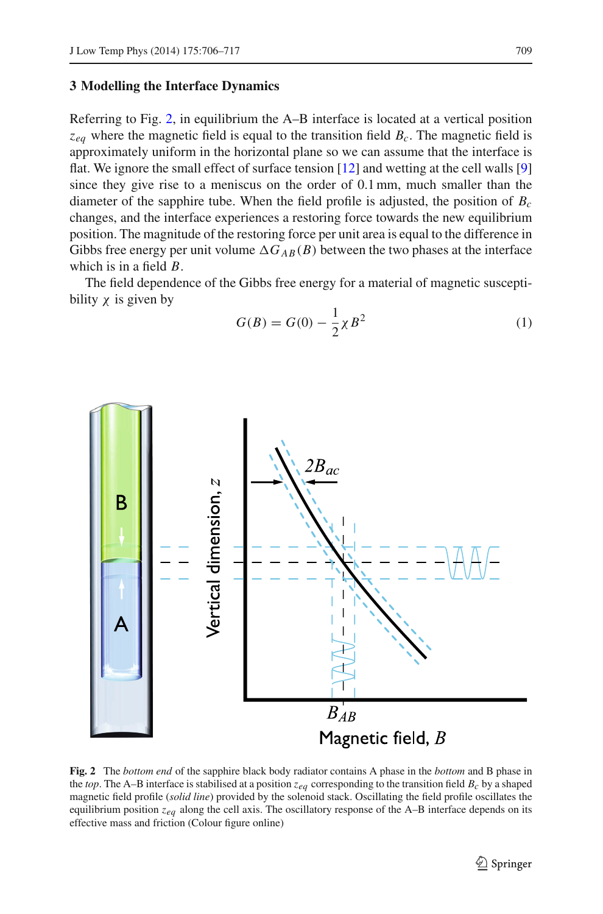#### **3 Modelling the Interface Dynamics**

Referring to Fig. [2,](#page-3-0) in equilibrium the A–B interface is located at a vertical position  $z_{ea}$  where the magnetic field is equal to the transition field *B<sub>c</sub>*. The magnetic field is approximately uniform in the horizontal plane so we can assume that the interface is flat. We ignore the small effect of surface tension [\[12](#page-10-6)] and wetting at the cell walls [\[9\]](#page-10-8) since they give rise to a meniscus on the order of 0.1 mm, much smaller than the diameter of the sapphire tube. When the field profile is adjusted, the position of *Bc* changes, and the interface experiences a restoring force towards the new equilibrium position. The magnitude of the restoring force per unit area is equal to the difference in Gibbs free energy per unit volume  $\Delta G_{AB}(B)$  between the two phases at the interface which is in a field *B*.

The field dependence of the Gibbs free energy for a material of magnetic susceptibility  $\chi$  is given by



$$
G(B) = G(0) - \frac{1}{2}\chi B^2
$$
 (1)

<span id="page-3-0"></span>**Fig. 2** The *bottom end* of the sapphire black body radiator contains A phase in the *bottom* and B phase in the *top*. The A–B interface is stabilised at a position  $z_{eq}$  corresponding to the transition field  $B_c$  by a shaped magnetic field profile (*solid line*) provided by the solenoid stack. Oscillating the field profile oscillates the equilibrium position *zeq* along the cell axis. The oscillatory response of the A–B interface depends on its effective mass and friction (Colour figure online)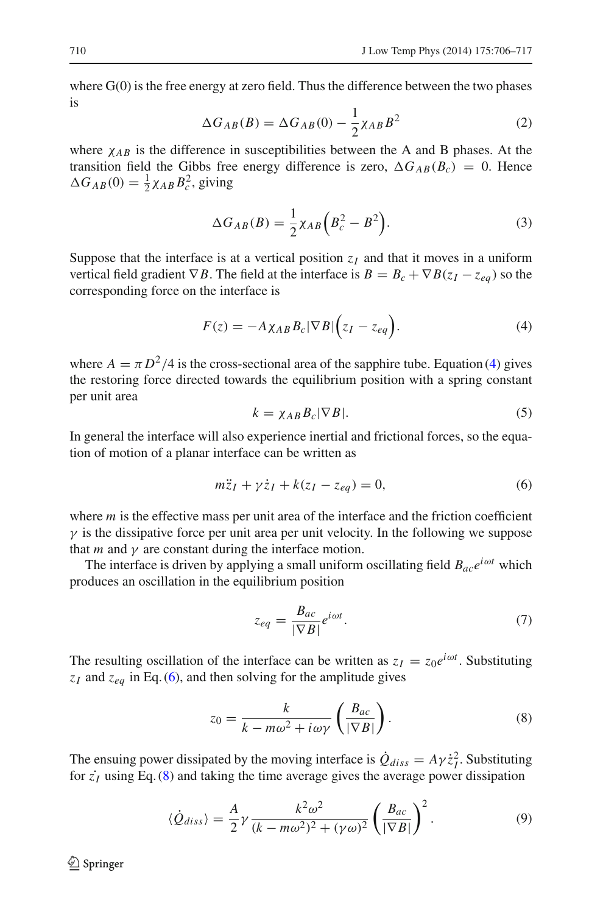where G(0) is the free energy at zero field. Thus the difference between the two phases is

$$
\Delta G_{AB}(B) = \Delta G_{AB}(0) - \frac{1}{2} \chi_{AB} B^2 \tag{2}
$$

where  $\chi_{AB}$  is the difference in susceptibilities between the A and B phases. At the transition field the Gibbs free energy difference is zero,  $\Delta G_{AB}(B_c) = 0$ . Hence  $\Delta G_{AB}(0) = \frac{1}{2} \chi_{AB} B_c^2$ , giving

$$
\Delta G_{AB}(B) = \frac{1}{2} \chi_{AB} \left( B_c^2 - B^2 \right). \tag{3}
$$

Suppose that the interface is at a vertical position  $z_I$  and that it moves in a uniform vertical field gradient  $\nabla B$ . The field at the interface is  $B = B_c + \nabla B(z_I - z_{eq})$  so the corresponding force on the interface is

$$
F(z) = -A \chi_{AB} B_c |\nabla B| \Big( z_I - z_{eq} \Big). \tag{4}
$$

<span id="page-4-0"></span>where  $A = \pi D^2/4$  is the cross-sectional area of the sapphire tube. Equation [\(4\)](#page-4-0) gives the restoring force directed towards the equilibrium position with a spring constant per unit area

$$
k = \chi_{AB} B_c |\nabla B|.
$$
 (5)

In general the interface will also experience inertial and frictional forces, so the equation of motion of a planar interface can be written as

$$
m\ddot{z}_I + \gamma \dot{z}_I + k(z_I - z_{eq}) = 0,\tag{6}
$$

<span id="page-4-1"></span>where *m* is the effective mass per unit area of the interface and the friction coefficient  $\gamma$  is the dissipative force per unit area per unit velocity. In the following we suppose that *m* and  $\gamma$  are constant during the interface motion.

The interface is driven by applying a small uniform oscillating field  $B_{ac}e^{i\omega t}$  which produces an oscillation in the equilibrium position

$$
z_{eq} = \frac{B_{ac}}{|\nabla B|} e^{i\omega t}.
$$
 (7)

The resulting oscillation of the interface can be written as  $z_I = z_0 e^{i\omega t}$ . Substituting  $z_I$  and  $z_{eq}$  in Eq. [\(6\)](#page-4-1), and then solving for the amplitude gives

$$
z_0 = \frac{k}{k - m\omega^2 + i\omega\gamma} \left(\frac{B_{ac}}{|\nabla B|}\right).
$$
 (8)

<span id="page-4-3"></span><span id="page-4-2"></span>The ensuing power dissipated by the moving interface is  $\dot{Q}_{diss} = A\gamma \dot{z}_I^2$ . Substituting for  $\dot{z}_I$  using Eq. [\(8\)](#page-4-2) and taking the time average gives the average power dissipation

$$
\langle \dot{Q}_{diss} \rangle = \frac{A}{2} \gamma \frac{k^2 \omega^2}{(k - m\omega^2)^2 + (\gamma \omega)^2} \left( \frac{B_{ac}}{|\nabla B|} \right)^2.
$$
 (9)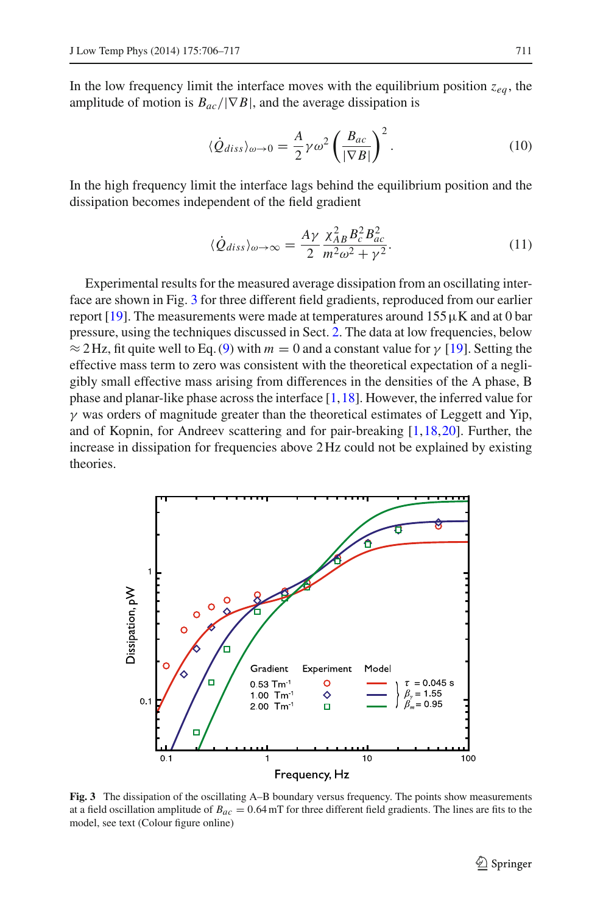In the low frequency limit the interface moves with the equilibrium position  $z_{ea}$ , the amplitude of motion is  $B_{ac}/|\nabla B|$ , and the average dissipation is

$$
\langle \dot{Q}_{diss} \rangle_{\omega \to 0} = \frac{A}{2} \gamma \omega^2 \left( \frac{B_{ac}}{|\nabla B|} \right)^2.
$$
 (10)

<span id="page-5-1"></span>In the high frequency limit the interface lags behind the equilibrium position and the dissipation becomes independent of the field gradient

$$
\langle \dot{Q}_{diss} \rangle_{\omega \to \infty} = \frac{A\gamma}{2} \frac{\chi_{AB}^2 B_c^2 B_{ac}^2}{m^2 \omega^2 + \gamma^2}.
$$
 (11)

Experimental results for the measured average dissipation from an oscillating interface are shown in Fig. [3](#page-5-0) for three different field gradients, reproduced from our earlier report [\[19\]](#page-11-5). The measurements were made at temperatures around  $155 \mu K$  and at 0 bar pressure, using the techniques discussed in Sect. [2.](#page-1-0) The data at low frequencies, below  $\approx$  2 Hz, fit quite well to Eq. [\(9\)](#page-4-3) with  $m = 0$  and a constant value for  $\gamma$  [\[19\]](#page-11-5). Setting the effective mass term to zero was consistent with the theoretical expectation of a negligibly small effective mass arising from differences in the densities of the A phase, B phase and planar-like phase across the interface [\[1,](#page-10-0)[18\]](#page-11-4). However, the inferred value for  $\gamma$  was orders of magnitude greater than the theoretical estimates of Leggett and Yip, and of Kopnin, for Andreev scattering and for pair-breaking [\[1](#page-10-0)[,18](#page-11-4)[,20](#page-11-6)]. Further, the increase in dissipation for frequencies above 2 Hz could not be explained by existing theories.



<span id="page-5-0"></span>**Fig. 3** The dissipation of the oscillating A–B boundary versus frequency. The points show measurements at a field oscillation amplitude of *Bac* = 0.64 mT for three different field gradients. The lines are fits to the model, see text (Colour figure online)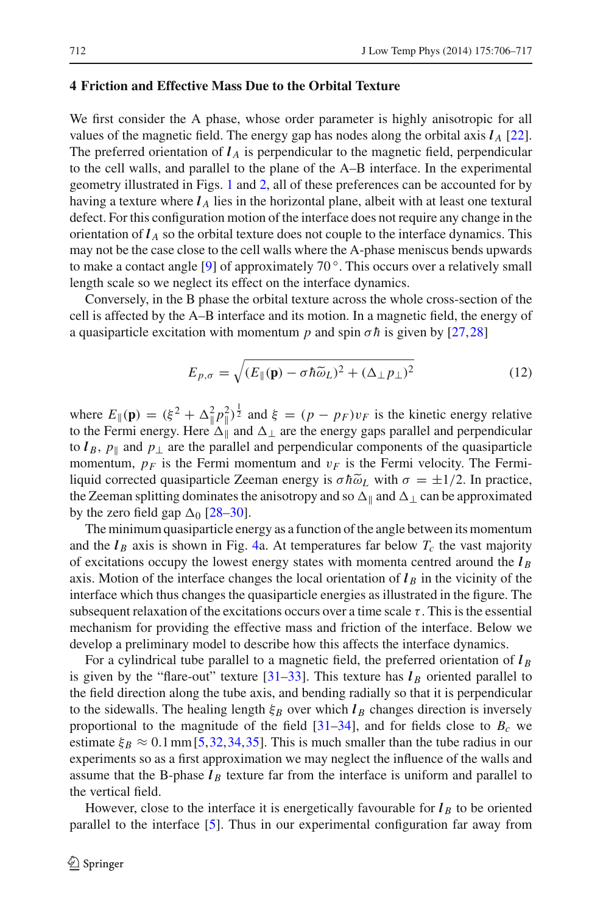#### **4 Friction and Effective Mass Due to the Orbital Texture**

We first consider the A phase, whose order parameter is highly anisotropic for all values of the magnetic field. The energy gap has nodes along the orbital axis  $l_A$  [\[22](#page-11-8)]. The preferred orientation of  $l_A$  is perpendicular to the magnetic field, perpendicular to the cell walls, and parallel to the plane of the A–B interface. In the experimental geometry illustrated in Figs. [1](#page-2-0) and [2,](#page-3-0) all of these preferences can be accounted for by having a texture where  $l_A$  lies in the horizontal plane, albeit with at least one textural defect. For this configuration motion of the interface does not require any change in the orientation of  $l_A$  so the orbital texture does not couple to the interface dynamics. This may not be the case close to the cell walls where the A-phase meniscus bends upwards to make a contact angle [\[9\]](#page-10-8) of approximately 70 ◦. This occurs over a relatively small length scale so we neglect its effect on the interface dynamics.

Conversely, in the B phase the orbital texture across the whole cross-section of the cell is affected by the A–B interface and its motion. In a magnetic field, the energy of a quasiparticle excitation with momentum *p* and spin  $\sigma \hbar$  is given by [\[27](#page-11-13),[28\]](#page-11-14)

$$
E_{p,\sigma} = \sqrt{(E_{\parallel}(\mathbf{p}) - \sigma \hbar \tilde{\omega}_L)^2 + (\Delta_{\perp} p_{\perp})^2}
$$
(12)

where  $E_{\parallel}(\mathbf{p}) = (\xi^2 + \Delta_{\parallel}^2 p_{\parallel}^2)^{\frac{1}{2}}$  and  $\xi = (p - p_F)v_F$  is the kinetic energy relative to the Fermi energy. Here  $\Delta_{\parallel}$  and  $\Delta_{\perp}$  are the energy gaps parallel and perpendicular to  $l_B$ ,  $p_{\parallel}$  and  $p_{\perp}$  are the parallel and perpendicular components of the quasiparticle momentum,  $p_F$  is the Fermi momentum and  $v_F$  is the Fermi velocity. The Fermiliquid corrected quasiparticle Zeeman energy is  $\sigma \hbar \tilde{\omega}_L$  with  $\sigma = \pm 1/2$ . In practice, the Zeeman splitting dominates the anisotropy and so  $\Delta_{\parallel}$  and  $\Delta_{\perp}$  can be approximated by the zero field gap  $\Delta_0$  [\[28](#page-11-14)[–30\]](#page-11-15).

The minimum quasiparticle energy as a function of the angle between its momentum and the  $l_B$  axis is shown in Fig. [4a](#page-7-0). At temperatures far below  $T_c$  the vast majority of excitations occupy the lowest energy states with momenta centred around the  $l_B$ axis. Motion of the interface changes the local orientation of  $l_B$  in the vicinity of the interface which thus changes the quasiparticle energies as illustrated in the figure. The subsequent relaxation of the excitations occurs over a time scale  $\tau$ . This is the essential mechanism for providing the effective mass and friction of the interface. Below we develop a preliminary model to describe how this affects the interface dynamics.

For a cylindrical tube parallel to a magnetic field, the preferred orientation of *l <sup>B</sup>* is given by the "flare-out" texture  $[31-33]$  $[31-33]$ . This texture has  $l_B$  oriented parallel to the field direction along the tube axis, and bending radially so that it is perpendicular to the sidewalls. The healing length  $\xi_B$  over which  $l_B$  changes direction is inversely proportional to the magnitude of the field  $[31–34]$  $[31–34]$  $[31–34]$ , and for fields close to  $B<sub>c</sub>$  we estimate  $\xi_B \approx 0.1$  mm [\[5,](#page-10-2)[32,](#page-11-19)[34](#page-11-18)[,35](#page-11-20)]. This is much smaller than the tube radius in our experiments so as a first approximation we may neglect the influence of the walls and assume that the B-phase  $l_B$  texture far from the interface is uniform and parallel to the vertical field.

However, close to the interface it is energetically favourable for  $l_B$  to be oriented parallel to the interface [\[5](#page-10-2)]. Thus in our experimental configuration far away from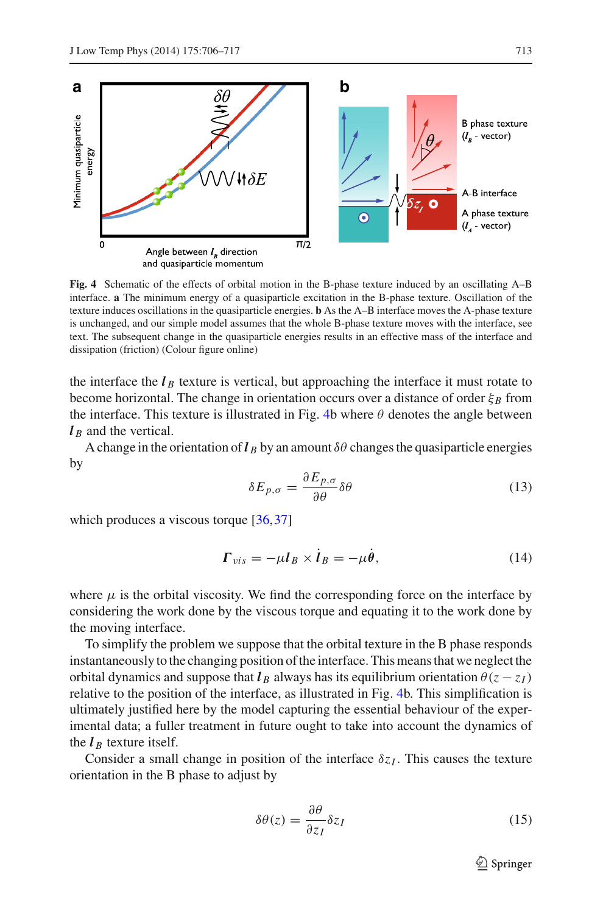

<span id="page-7-0"></span>**Fig. 4** Schematic of the effects of orbital motion in the B-phase texture induced by an oscillating A–B interface. **a** The minimum energy of a quasiparticle excitation in the B-phase texture. Oscillation of the texture induces oscillations in the quasiparticle energies. **b** As the A–B interface moves the A-phase texture is unchanged, and our simple model assumes that the whole B-phase texture moves with the interface, see text. The subsequent change in the quasiparticle energies results in an effective mass of the interface and dissipation (friction) (Colour figure online)

the interface the  $l_B$  texture is vertical, but approaching the interface it must rotate to become horizontal. The change in orientation occurs over a distance of order  $\xi_B$  from the interface. This texture is illustrated in Fig. [4b](#page-7-0) where  $\theta$  denotes the angle between  $l<sub>B</sub>$  and the vertical.

A change in the orientation of  $\ell_B$  by an amount  $\delta\theta$  changes the quasiparticle energies by

$$
\delta E_{p,\sigma} = \frac{\partial E_{p,\sigma}}{\partial \theta} \delta \theta \tag{13}
$$

which produces a viscous torque [\[36,](#page-11-21)[37\]](#page-11-22)

$$
\Gamma_{vis} = -\mu l_B \times \dot{l}_B = -\mu \dot{\theta}, \qquad (14)
$$

where  $\mu$  is the orbital viscosity. We find the corresponding force on the interface by considering the work done by the viscous torque and equating it to the work done by the moving interface.

To simplify the problem we suppose that the orbital texture in the B phase responds instantaneously to the changing position of the interface. This means that we neglect the orbital dynamics and suppose that  $l_B$  always has its equilibrium orientation  $\theta(z - z_I)$ relative to the position of the interface, as illustrated in Fig. [4b](#page-7-0). This simplification is ultimately justified here by the model capturing the essential behaviour of the experimental data; a fuller treatment in future ought to take into account the dynamics of the  $l_B$  texture itself.

Consider a small change in position of the interface  $\delta z_I$ . This causes the texture orientation in the B phase to adjust by

<span id="page-7-1"></span>
$$
\delta\theta(z) = \frac{\partial\theta}{\partial z_I} \delta z_I \tag{15}
$$

 $\mathcal{D}$  Springer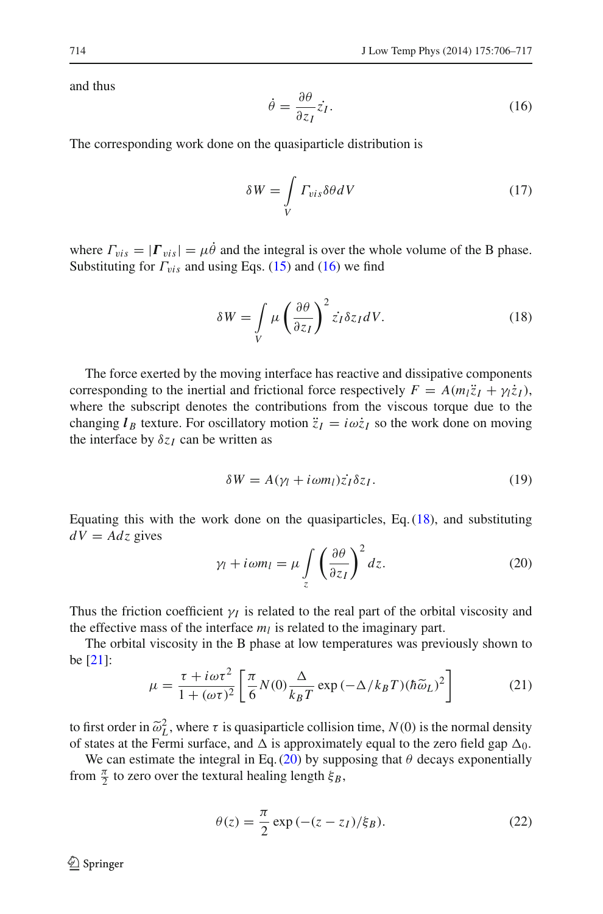and thus

<span id="page-8-0"></span>
$$
\dot{\theta} = \frac{\partial \theta}{\partial z_I} \dot{z_I}.
$$
\n(16)

The corresponding work done on the quasiparticle distribution is

$$
\delta W = \int\limits_V \Gamma_{vis} \delta \theta dV \tag{17}
$$

where  $\Gamma_{vis} = |\Gamma_{vis}| = \mu \dot{\theta}$  and the integral is over the whole volume of the B phase. Substituting for  $\Gamma_{vis}$  and using Eqs. [\(15\)](#page-7-1) and [\(16\)](#page-8-0) we find

$$
\delta W = \int\limits_V \mu \left(\frac{\partial \theta}{\partial z_I}\right)^2 \dot{z}_I \delta z_I dV. \tag{18}
$$

<span id="page-8-1"></span>The force exerted by the moving interface has reactive and dissipative components corresponding to the inertial and frictional force respectively  $F = A(m_1\ddot{z}_I + \gamma i\dot{z}_I)$ , where the subscript denotes the contributions from the viscous torque due to the changing  $l_B$  texture. For oscillatory motion  $\ddot{z}_I = i\omega \dot{z}_I$  so the work done on moving the interface by  $\delta z_I$  can be written as

$$
\delta W = A(\gamma_l + i\omega m_l)\dot{z}_I \delta z_I.
$$
 (19)

<span id="page-8-2"></span>Equating this with the work done on the quasiparticles, Eq. [\(18\)](#page-8-1), and substituting  $dV = Adz$  gives

$$
\gamma_l + i\omega m_l = \mu \int_z \left(\frac{\partial \theta}{\partial z_l}\right)^2 dz.
$$
 (20)

Thus the friction coefficient  $\gamma_I$  is related to the real part of the orbital viscosity and the effective mass of the interface  $m_l$  is related to the imaginary part.

<span id="page-8-3"></span>The orbital viscosity in the B phase at low temperatures was previously shown to be [\[21\]](#page-11-7):

$$
\mu = \frac{\tau + i\omega\tau^2}{1 + (\omega\tau)^2} \left[ \frac{\pi}{6} N(0) \frac{\Delta}{k_B T} \exp\left(-\Delta/k_B T\right) (\hbar \tilde{\omega}_L)^2 \right] \tag{21}
$$

to first order in  $\tilde{\omega}_L^2$ , where  $\tau$  is quasiparticle collision time,  $N(0)$  is the normal density of states at the Fermi surface, and  $\Lambda$  is approximately equal to the zero field gap  $\Lambda_0$ . of states at the Fermi surface, and  $\Delta$  is approximately equal to the zero field gap  $\Delta_0$ .

We can estimate the integral in Eq. [\(20\)](#page-8-2) by supposing that  $\theta$  decays exponentially from  $\frac{\pi}{2}$  to zero over the textural healing length  $\xi_B$ ,

$$
\theta(z) = \frac{\pi}{2} \exp\left(-(z - z_I)/\xi_B\right). \tag{22}
$$

 $\circled{2}$  Springer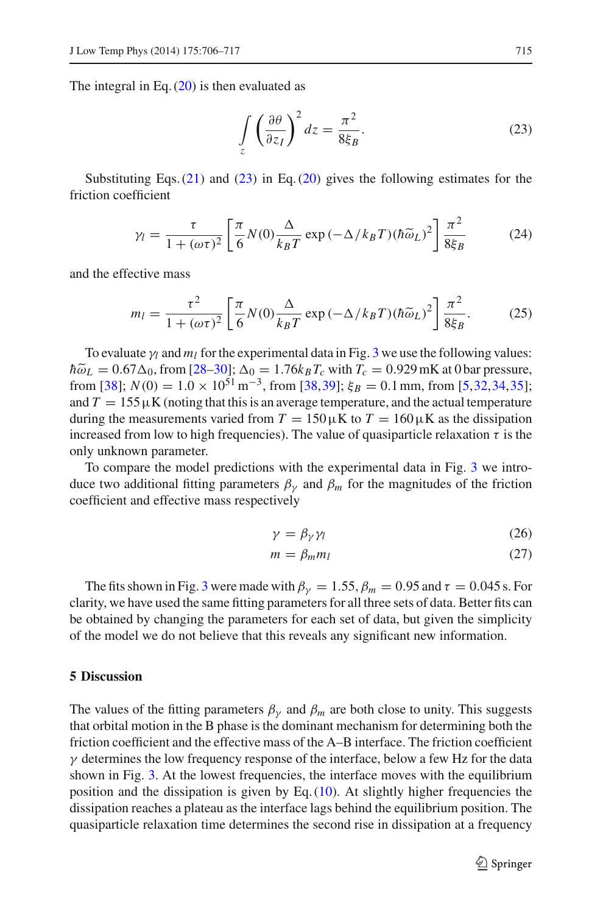<span id="page-9-0"></span>The integral in Eq.  $(20)$  is then evaluated as

$$
\int_{z} \left(\frac{\partial \theta}{\partial z_I}\right)^2 dz = \frac{\pi^2}{8\xi_B}.
$$
\n(23)

Substituting Eqs.  $(21)$  and  $(23)$  in Eq.  $(20)$  gives the following estimates for the friction coefficient

$$
\gamma_l = \frac{\tau}{1 + (\omega \tau)^2} \left[ \frac{\pi}{6} N(0) \frac{\Delta}{k_B T} \exp\left(-\Delta / k_B T\right) (\hbar \widetilde{\omega}_L)^2 \right] \frac{\pi^2}{8\xi_B} \tag{24}
$$

and the effective mass

$$
m_l = \frac{\tau^2}{1 + (\omega \tau)^2} \left[ \frac{\pi}{6} N(0) \frac{\Delta}{k_B T} \exp\left(-\Delta/k_B T\right) (\hbar \widetilde{\omega}_L)^2 \right] \frac{\pi^2}{8\xi_B}.
$$
 (25)

To evaluate  $\gamma_l$  and  $m_l$  for the experimental data in Fig. [3](#page-5-0) we use the following values:  $\hbar \tilde{\omega}_L = 0.67 \Delta_0$ , from [\[28](#page-11-14)[–30\]](#page-11-15);  $\Delta_0 = 1.76 k_B T_c$  with  $T_c = 0.929$  mK at 0 bar pressure,<br>from [38];  $N(0) = 1.0 \times 10^{51}$  m<sup>-3</sup> from [38–30];  $\varepsilon_B = 0.1$  mm, from [5–32–34–35]; from [\[38\]](#page-11-23);  $N(0) = 1.0 \times 10^{51} \text{ m}^{-3}$ , from [\[38,](#page-11-23)[39\]](#page-11-24);  $\xi_B = 0.1 \text{ mm}$ , from [\[5](#page-10-2),[32,](#page-11-19)[34,](#page-11-18)[35\]](#page-11-20); and  $T = 155 \mu K$  (noting that this is an average temperature, and the actual temperature during the measurements varied from  $T = 150 \mu K$  to  $T = 160 \mu K$  as the dissipation increased from low to high frequencies). The value of quasiparticle relaxation  $\tau$  is the only unknown parameter.

To compare the model predictions with the experimental data in Fig. [3](#page-5-0) we introduce two additional fitting parameters  $\beta_{\nu}$  and  $\beta_{m}$  for the magnitudes of the friction coefficient and effective mass respectively

$$
\gamma = \beta_{\gamma} \gamma_l \tag{26}
$$

$$
m = \beta_m m_l \tag{27}
$$

The fits shown in Fig. [3](#page-5-0) were made with  $\beta_{\nu} = 1.55$ ,  $\beta_m = 0.95$  and  $\tau = 0.045$  s. For clarity, we have used the same fitting parameters for all three sets of data. Better fits can be obtained by changing the parameters for each set of data, but given the simplicity of the model we do not believe that this reveals any significant new information.

## **5 Discussion**

The values of the fitting parameters  $\beta_{\gamma}$  and  $\beta_{m}$  are both close to unity. This suggests that orbital motion in the B phase is the dominant mechanism for determining both the friction coefficient and the effective mass of the A–B interface. The friction coefficient  $\gamma$  determines the low frequency response of the interface, below a few Hz for the data shown in Fig. [3.](#page-5-0) At the lowest frequencies, the interface moves with the equilibrium position and the dissipation is given by Eq.  $(10)$ . At slightly higher frequencies the dissipation reaches a plateau as the interface lags behind the equilibrium position. The quasiparticle relaxation time determines the second rise in dissipation at a frequency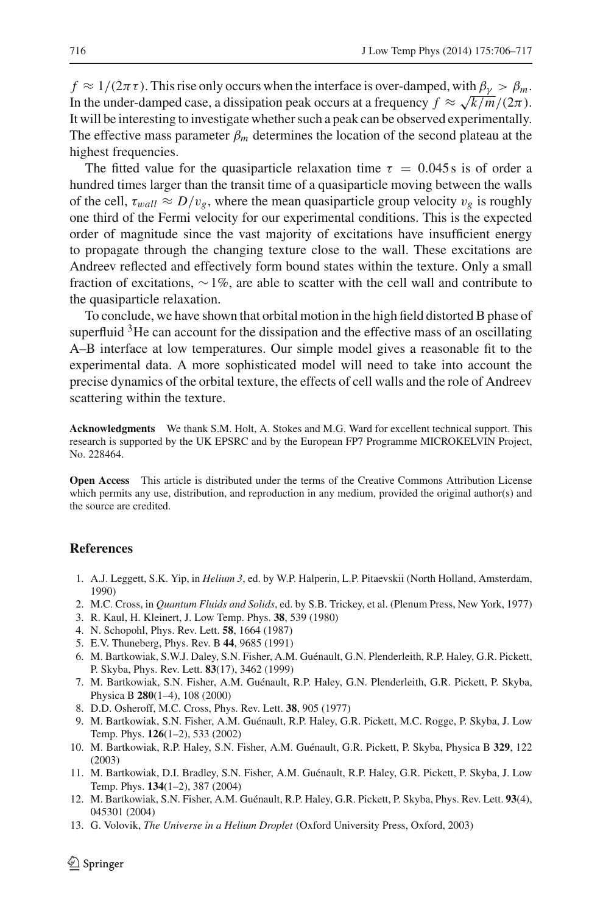$f \approx 1/(2\pi\tau)$ . This rise only occurs when the interface is over-damped, with  $\beta_{\nu} > \beta_m$ . In the under-damped case, a dissipation peak occurs at a frequency  $f \approx \sqrt{k/m}/(2\pi)$ . It will be interesting to investigate whether such a peak can be observed experimentally. The effective mass parameter  $\beta_m$  determines the location of the second plateau at the highest frequencies.

The fitted value for the quasiparticle relaxation time  $\tau = 0.045 s$  is of order a hundred times larger than the transit time of a quasiparticle moving between the walls of the cell,  $\tau_{wall} \approx D/v_g$ , where the mean quasiparticle group velocity  $v_g$  is roughly one third of the Fermi velocity for our experimental conditions. This is the expected order of magnitude since the vast majority of excitations have insufficient energy to propagate through the changing texture close to the wall. These excitations are Andreev reflected and effectively form bound states within the texture. Only a small fraction of excitations,  $\sim 1\%$ , are able to scatter with the cell wall and contribute to the quasiparticle relaxation.

To conclude, we have shown that orbital motion in the high field distorted B phase of superfluid  $3$ He can account for the dissipation and the effective mass of an oscillating A–B interface at low temperatures. Our simple model gives a reasonable fit to the experimental data. A more sophisticated model will need to take into account the precise dynamics of the orbital texture, the effects of cell walls and the role of Andreev scattering within the texture.

**Acknowledgments** We thank S.M. Holt, A. Stokes and M.G. Ward for excellent technical support. This research is supported by the UK EPSRC and by the European FP7 Programme MICROKELVIN Project, No. 228464.

**Open Access** This article is distributed under the terms of the Creative Commons Attribution License which permits any use, distribution, and reproduction in any medium, provided the original author(s) and the source are credited.

# <span id="page-10-0"></span>**References**

- 1. A.J. Leggett, S.K. Yip, in *Helium 3*, ed. by W.P. Halperin, L.P. Pitaevskii (North Holland, Amsterdam, 1990)
- <span id="page-10-1"></span>2. M.C. Cross, in *Quantum Fluids and Solids*, ed. by S.B. Trickey, et al. (Plenum Press, New York, 1977)
- 3. R. Kaul, H. Kleinert, J. Low Temp. Phys. **38**, 539 (1980)
- 4. N. Schopohl, Phys. Rev. Lett. **58**, 1664 (1987)
- <span id="page-10-2"></span>5. E.V. Thuneberg, Phys. Rev. B **44**, 9685 (1991)
- <span id="page-10-3"></span>6. M. Bartkowiak, S.W.J. Daley, S.N. Fisher, A.M. Guénault, G.N. Plenderleith, R.P. Haley, G.R. Pickett, P. Skyba, Phys. Rev. Lett. **83**(17), 3462 (1999)
- <span id="page-10-4"></span>7. M. Bartkowiak, S.N. Fisher, A.M. Guénault, R.P. Haley, G.N. Plenderleith, G.R. Pickett, P. Skyba, Physica B **280**(1–4), 108 (2000)
- 8. D.D. Osheroff, M.C. Cross, Phys. Rev. Lett. **38**, 905 (1977)
- <span id="page-10-5"></span>9. M. Bartkowiak, S.N. Fisher, A.M. Guénault, R.P. Haley, G.R. Pickett, M.C. Rogge, P. Skyba, J. Low Temp. Phys. **126**(1–2), 533 (2002)
- <span id="page-10-8"></span>10. M. Bartkowiak, R.P. Haley, S.N. Fisher, A.M. Guénault, G.R. Pickett, P. Skyba, Physica B **329**, 122 (2003)
- 11. M. Bartkowiak, D.I. Bradley, S.N. Fisher, A.M. Guénault, R.P. Haley, G.R. Pickett, P. Skyba, J. Low Temp. Phys. **134**(1–2), 387 (2004)
- <span id="page-10-6"></span>12. M. Bartkowiak, S.N. Fisher, A.M. Guénault, R.P. Haley, G.R. Pickett, P. Skyba, Phys. Rev. Lett. **93**(4), 045301 (2004)
- <span id="page-10-7"></span>13. G. Volovik, *The Universe in a Helium Droplet* (Oxford University Press, Oxford, 2003)